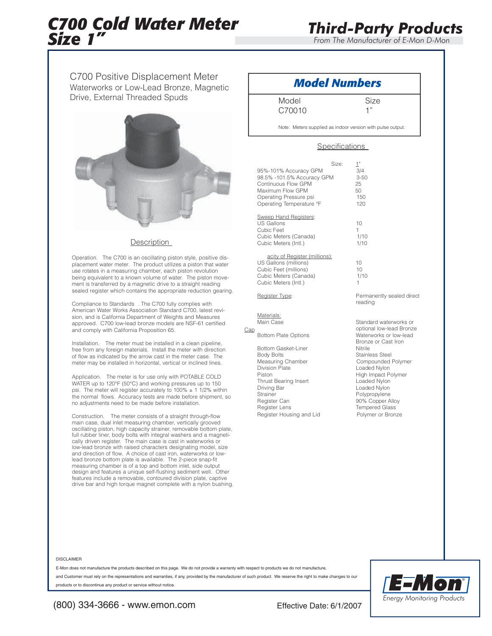# *C700 Cold Water Meter Size 1"*

*From The Manufacturer of E-Mon D-Mon*

C700 Positive Displacement Meter Waterworks or Low-Lead Bronze, Magnetic Drive, External Threaded Spuds



### **Description**

Operation. The C700 is an oscillating piston style, positive displacement water meter. The product utilizes a piston that water use rotates in a measuring chamber, each piston revolution being equivalent to a known volume of water. The piston movement is transferred by a magnetic drive to a straight reading sealed register which contains the appropriate reduction gearing.

Compliance to Standards . The C700 fully complies with American Water Works Association Standard C700, latest revision, and is California Department of Weights and Measures approved. C700 low-lead bronze models are NSF-61 certified and comply with California Proposition 65.

Installation. The meter must be installed in a clean pipeline, free from any foreign materials. Install the meter with direction of flow as indicated by the arrow cast in the meter case. The meter may be installed in horizontal, vertical or inclined lines.

Application. The meter is for use only with POTABLE COLD WATER up to 120°F (50°C) and working pressures up to 150 psi. The meter will register accurately to  $100\% \pm 11/2\%$  within the normal flows. Accuracy tests are made before shipment, so no adjustments need to be made before installation.

Construction. The meter consists of a straight through-flow main case, dual inlet measuring chamber, vertically grooved oscillating piston, high capacity strainer, removable bottom plate, full rubber liner, body bolts with integral washers and a magneti-cally driven register. The main case is cast in waterworks or low-lead bronze with raised characters designating model, size and direction of flow. A choice of cast iron, waterworks or lowlead bronze bottom plate is available. The 2-piece snap-fit measuring chamber is of a top and bottom inlet, side output design and features a unique self-flushing sediment well. Other features include a removable, contoured division plate, captive drive bar and high torque magnet complete with a nylon bushing.

## *Model Numbers*

Model Size C70010 1"

Note: Meters supplied as indoor version with pulse output.

### Specifications

| 95%-101% Accuracy GPM<br>98.5% -101.5% Accuracy GPM<br>Continuous Flow GPM<br>Maximum Flow GPM<br>Operating Pressure psi<br>Operating Temperature °F                                                | Size: | $1^{\circ}$<br>3/4<br>$3 - 50$<br>25<br>50<br>150<br>120                                                                            |
|-----------------------------------------------------------------------------------------------------------------------------------------------------------------------------------------------------|-------|-------------------------------------------------------------------------------------------------------------------------------------|
| <b>Sweep Hand Registers:</b><br>US Gallons<br>Cubic Feet<br>Cubic Meters (Canada)<br>Cubic Meters (Intl.)                                                                                           |       | 10<br>1<br>1/10<br>1/10                                                                                                             |
| acity of Register (millions):<br>US Gallons (millions)<br>Cubic Feet (millions)<br>Cubic Meters (Canada)<br>Cubic Meters (Intl.)                                                                    |       | 10<br>10<br>1/10<br>1                                                                                                               |
| Register Type:                                                                                                                                                                                      |       | Perma<br>readino                                                                                                                    |
| Materials:<br>Main Case<br><b>Bottom Plate Options</b>                                                                                                                                              |       | Standa<br>optiona<br>Waterw                                                                                                         |
| Bottom Gasket-Liner<br><b>Body Bolts</b><br>Measuring Chamber<br><b>Division Plate</b><br>Piston<br><b>Thrust Bearing Insert</b><br>Driving Bar<br><b>Strainer</b><br>Register Can<br>Register Lens |       | <b>Bronze</b><br>Nitrile<br><b>Stainle</b><br>Compo<br>Loaded<br>High In<br>Loaded<br>Loaded<br>Polypro<br>90% C<br>Tempe<br>Polyme |
| Register Housing and Lid                                                                                                                                                                            |       |                                                                                                                                     |

Cap

nently sealed direct  $\overline{q}$ 

ard waterworks or al low-lead Bronze works or low-lead or Cast Iron **Board Steel** ounded Polymer d Nylon npact Polymer d Nylon d Nylon opylene ...<br>Copper Alloy red Glass er or Bronze

#### DISCLAIMER

E-Mon does not manufacture the products described on this page. We do not provide a warranty with respect to products we do not manufacture,

and Customer must rely on the representations and warranties, if any, provided by the manufacturer of such product. We reserve the right to make changes to our products or to discontinue any product or service without notice.



(800) 334-3666 - www.emon.com Effective Date: 6/1/2007